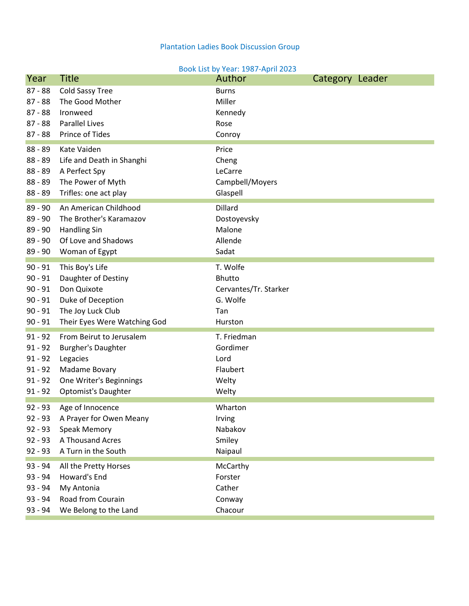## Plantation Ladies Book Discussion Group

## Book List by Year: 1987-April 2023

| Year      | <b>Title</b>                 | Author                | Category Leader |  |
|-----------|------------------------------|-----------------------|-----------------|--|
| $87 - 88$ | Cold Sassy Tree              | <b>Burns</b>          |                 |  |
| $87 - 88$ | The Good Mother              | Miller                |                 |  |
| $87 - 88$ | Ironweed                     | Kennedy               |                 |  |
| $87 - 88$ | <b>Parallel Lives</b>        | Rose                  |                 |  |
| $87 - 88$ | Prince of Tides              | Conroy                |                 |  |
| $88 - 89$ | Kate Vaiden                  | Price                 |                 |  |
| $88 - 89$ | Life and Death in Shanghi    | Cheng                 |                 |  |
| $88 - 89$ | A Perfect Spy                | LeCarre               |                 |  |
| $88 - 89$ | The Power of Myth            | Campbell/Moyers       |                 |  |
| $88 - 89$ | Trifles: one act play        | Glaspell              |                 |  |
|           |                              |                       |                 |  |
| $89 - 90$ | An American Childhood        | Dillard               |                 |  |
| $89 - 90$ | The Brother's Karamazov      | Dostoyevsky           |                 |  |
| $89 - 90$ | <b>Handling Sin</b>          | Malone                |                 |  |
| $89 - 90$ | Of Love and Shadows          | Allende               |                 |  |
| 89 - 90   | Woman of Egypt               | Sadat                 |                 |  |
| $90 - 91$ | This Boy's Life              | T. Wolfe              |                 |  |
| $90 - 91$ | Daughter of Destiny          | Bhutto                |                 |  |
| $90 - 91$ | Don Quixote                  | Cervantes/Tr. Starker |                 |  |
| $90 - 91$ | Duke of Deception            | G. Wolfe              |                 |  |
| $90 - 91$ | The Joy Luck Club            | Tan                   |                 |  |
| $90 - 91$ | Their Eyes Were Watching God | Hurston               |                 |  |
| $91 - 92$ | From Beirut to Jerusalem     | T. Friedman           |                 |  |
| $91 - 92$ | <b>Burgher's Daughter</b>    | Gordimer              |                 |  |
| $91 - 92$ | Legacies                     | Lord                  |                 |  |
| $91 - 92$ | Madame Bovary                | Flaubert              |                 |  |
| $91 - 92$ | One Writer's Beginnings      | Welty                 |                 |  |
| $91 - 92$ | <b>Optomist's Daughter</b>   | Welty                 |                 |  |
|           |                              |                       |                 |  |
| $92 - 93$ | Age of Innocence             | Wharton               |                 |  |
| $92 - 93$ | A Prayer for Owen Meany      | Irving                |                 |  |
| $92 - 93$ | Speak Memory                 | Nabakov               |                 |  |
| $92 - 93$ | A Thousand Acres             | Smiley                |                 |  |
| $92 - 93$ | A Turn in the South          | Naipaul               |                 |  |
| 93 - 94   | All the Pretty Horses        | McCarthy              |                 |  |
| $93 - 94$ | Howard's End                 | Forster               |                 |  |
| $93 - 94$ | My Antonia                   | Cather                |                 |  |
| $93 - 94$ | Road from Courain            | Conway                |                 |  |
| $93 - 94$ | We Belong to the Land        | Chacour               |                 |  |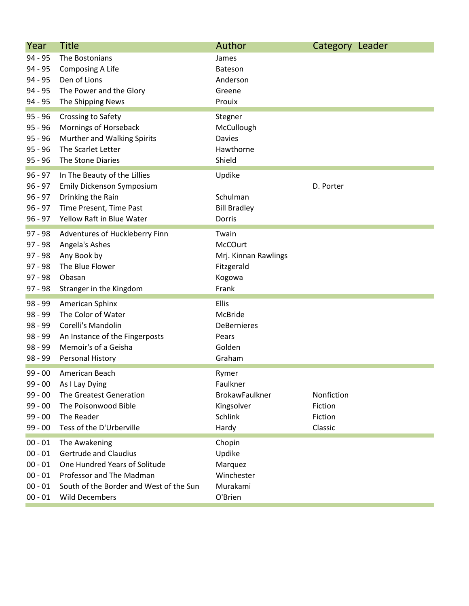| Year      | <b>Title</b>                            | Author                | Category Leader |  |
|-----------|-----------------------------------------|-----------------------|-----------------|--|
| $94 - 95$ | The Bostonians                          | James                 |                 |  |
| $94 - 95$ | Composing A Life                        | Bateson               |                 |  |
| $94 - 95$ | Den of Lions                            | Anderson              |                 |  |
| 94 - 95   | The Power and the Glory                 | Greene                |                 |  |
| $94 - 95$ | The Shipping News                       | Prouix                |                 |  |
| $95 - 96$ | Crossing to Safety                      | Stegner               |                 |  |
| $95 - 96$ | Mornings of Horseback                   | McCullough            |                 |  |
| $95 - 96$ | Murther and Walking Spirits             | <b>Davies</b>         |                 |  |
| $95 - 96$ | The Scarlet Letter                      | Hawthorne             |                 |  |
| $95 - 96$ | The Stone Diaries                       | Shield                |                 |  |
| $96 - 97$ | In The Beauty of the Lillies            | Updike                |                 |  |
| $96 - 97$ | Emily Dickenson Symposium               |                       | D. Porter       |  |
| $96 - 97$ | Drinking the Rain                       | Schulman              |                 |  |
| $96 - 97$ | Time Present, Time Past                 | <b>Bill Bradley</b>   |                 |  |
| $96 - 97$ | Yellow Raft in Blue Water               | Dorris                |                 |  |
| $97 - 98$ | Adventures of Huckleberry Finn          | Twain                 |                 |  |
| $97 - 98$ | Angela's Ashes                          | McCOurt               |                 |  |
| $97 - 98$ | Any Book by                             | Mrj. Kinnan Rawlings  |                 |  |
| $97 - 98$ | The Blue Flower                         | Fitzgerald            |                 |  |
| $97 - 98$ | Obasan                                  | Kogowa                |                 |  |
| $97 - 98$ | Stranger in the Kingdom                 | Frank                 |                 |  |
| $98 - 99$ | American Sphinx                         | Ellis                 |                 |  |
| $98 - 99$ | The Color of Water                      | McBride               |                 |  |
| $98 - 99$ | Corelli's Mandolin                      | <b>DeBernieres</b>    |                 |  |
| 98 - 99   | An Instance of the Fingerposts          | Pears                 |                 |  |
| $98 - 99$ | Memoir's of a Geisha                    | Golden                |                 |  |
| $98 - 99$ | Personal History                        | Graham                |                 |  |
| $99 - 00$ | American Beach                          | Rymer                 |                 |  |
| $99 - 00$ | As I Lay Dying                          | Faulkner              |                 |  |
| $99 - 00$ | The Greatest Generation                 | <b>BrokawFaulkner</b> | Nonfiction      |  |
| $99 - 00$ | The Poisonwood Bible                    | Kingsolver            | Fiction         |  |
| $99 - 00$ | The Reader                              | <b>Schlink</b>        | Fiction         |  |
| $99 - 00$ | Tess of the D'Urberville                | Hardy                 | Classic         |  |
| $00 - 01$ | The Awakening                           | Chopin                |                 |  |
| $00 - 01$ | <b>Gertrude and Claudius</b>            | Updike                |                 |  |
| $00 - 01$ | One Hundred Years of Solitude           | Marquez               |                 |  |
| $00 - 01$ | Professor and The Madman                | Winchester            |                 |  |
| $00 - 01$ | South of the Border and West of the Sun | Murakami              |                 |  |
| $00 - 01$ | <b>Wild Decembers</b>                   | O'Brien               |                 |  |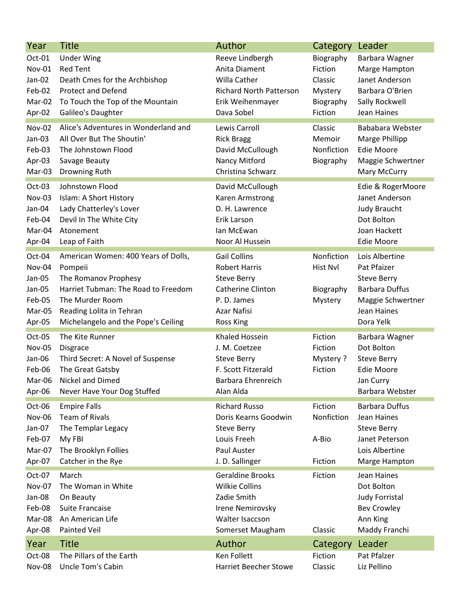| Year                                                               | <b>Title</b>                                                                                                                                                                                        | Author                                                                                                                            | Category                                                           | Leader                                                                                                                        |
|--------------------------------------------------------------------|-----------------------------------------------------------------------------------------------------------------------------------------------------------------------------------------------------|-----------------------------------------------------------------------------------------------------------------------------------|--------------------------------------------------------------------|-------------------------------------------------------------------------------------------------------------------------------|
| Oct-01<br><b>Nov-01</b><br>Jan-02<br>Feb-02<br>Mar-02<br>Apr-02    | <b>Under Wing</b><br><b>Red Tent</b><br>Death Cmes for the Archbishop<br><b>Protect and Defend</b><br>To Touch the Top of the Mountain<br>Galileo's Daughter                                        | Reeve Lindbergh<br>Anita Diament<br>Willa Cather<br><b>Richard North Patterson</b><br>Erik Weihenmayer<br>Dava Sobel              | Biography<br>Fiction<br>Classic<br>Mystery<br>Biography<br>Fiction | Barbara Wagner<br>Marge Hampton<br>Janet Anderson<br>Barbara O'Brien<br>Sally Rockwell<br>Jean Haines                         |
| Nov-02<br>Jan-03<br>Feb-03<br>Apr-03<br>Mar-03                     | Alice's Adventures in Wonderland and<br>All Over But The Shoutin'<br>The Johnstown Flood<br>Savage Beauty<br>Drowning Ruth                                                                          | Lewis Carroll<br><b>Rick Bragg</b><br>David McCullough<br>Nancy Mitford<br>Christina Schwarz                                      | Classic<br>Memoir<br>Nonfiction<br>Biography                       | Bababara Webster<br>Marge Phillipp<br><b>Edie Moore</b><br>Maggie Schwertner<br>Mary McCurry                                  |
| Oct-03<br>Nov-03<br>Jan-04<br>Feb-04<br>Mar-04<br>Apr-04           | Johnstown Flood<br>Islam: A Short History<br>Lady Chatterley's Lover<br>Devil In The White City<br>Atonement<br>Leap of Faith                                                                       | David McCullough<br>Karen Armstrong<br>D. H. Lawrence<br>Erik Larson<br>lan McEwan<br>Noor Al Hussein                             |                                                                    | Edie & RogerMoore<br>Janet Anderson<br><b>Judy Braucht</b><br>Dot Bolton<br>Joan Hackett<br><b>Edie Moore</b>                 |
| Oct-04<br>Nov-04<br>Jan-05<br>Jan-05<br>Feb-05<br>Mar-05<br>Apr-05 | American Women: 400 Years of Dolls,<br>Pompeii<br>The Romanov Prophesy<br>Harriet Tubman: The Road to Freedom<br>The Murder Room<br>Reading Lolita in Tehran<br>Michelangelo and the Pope's Ceiling | <b>Gail Collins</b><br><b>Robert Harris</b><br><b>Steve Berry</b><br>Catherine Clinton<br>P. D. James<br>Azar Nafisi<br>Ross King | Nonfiction<br>Hist Nvl<br>Biography<br>Mystery                     | Lois Albertine<br>Pat Pfaizer<br><b>Steve Berry</b><br><b>Barbara Duffus</b><br>Maggie Schwertner<br>Jean Haines<br>Dora Yelk |
| Oct-05<br>Nov-05<br>Jan-06<br>Feb-06<br>Mar-06<br>Apr-06           | The Kite Runner<br>Disgrace<br>Third Secret: A Novel of Suspense<br>The Great Gatsby<br>Nickel and Dimed<br>Never Have Your Dog Stuffed                                                             | <b>Khaled Hossein</b><br>J. M. Coetzee<br><b>Steve Berry</b><br>F. Scott Fitzerald<br>Barbara Ehrenreich<br>Alan Alda             | Fiction<br>Fiction<br>Mystery?<br>Fiction                          | Barbara Wagner<br>Dot Bolton<br><b>Steve Berry</b><br><b>Edie Moore</b><br>Jan Curry<br>Barbara Webster                       |
| Oct-06<br>Nov-06<br>Jan-07<br>Feb-07<br>Mar-07<br>Apr-07           | <b>Empire Falls</b><br><b>Team of Rivals</b><br>The Templar Legacy<br>My FBI<br>The Brooklyn Follies<br>Catcher in the Rye                                                                          | <b>Richard Russo</b><br>Doris Kearns Goodwin<br><b>Steve Berry</b><br>Louis Freeh<br>Paul Auster<br>J. D. Sallinger               | Fiction<br>Nonfiction<br>A-Bio<br>Fiction                          | <b>Barbara Duffus</b><br>Jean Haines<br><b>Steve Berry</b><br>Janet Peterson<br>Lois Albertine<br>Marge Hampton               |
| Oct-07<br><b>Nov-07</b><br>Jan-08<br>Feb-08<br>Mar-08<br>Apr-08    | March<br>The Woman in White<br>On Beauty<br>Suite Francaise<br>An American Life<br>Painted Veil                                                                                                     | <b>Geraldine Brooks</b><br><b>Wilkie Collins</b><br>Zadie Smith<br>Irene Nemirovsky<br>Walter Isaccson<br>Somerset Maugham        | Fiction<br>Classic                                                 | Jean Haines<br>Dot Bolton<br>Judy Forristal<br><b>Bev Crowley</b><br>Ann King<br>Maddy Franchi                                |
| Year                                                               | <b>Title</b>                                                                                                                                                                                        | Author                                                                                                                            | Category                                                           | Leader                                                                                                                        |
| Oct-08<br>Nov-08                                                   | The Pillars of the Earth<br>Uncle Tom's Cabin                                                                                                                                                       | Ken Follett<br><b>Harriet Beecher Stowe</b>                                                                                       | Fiction<br>Classic                                                 | Pat Pfalzer<br>Liz Pellino                                                                                                    |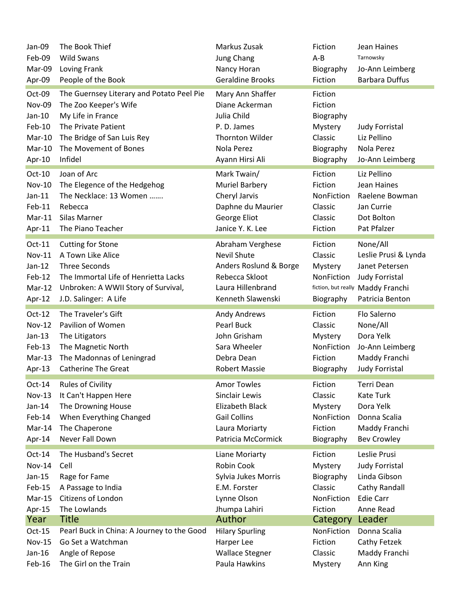| Jan-09        | The Book Thief                                          | Markus Zusak               | Fiction               | Jean Haines                            |
|---------------|---------------------------------------------------------|----------------------------|-----------------------|----------------------------------------|
| Feb-09        | <b>Wild Swans</b>                                       | <b>Jung Chang</b>          | $A - B$               | Tarnowsky                              |
| Mar-09        | Loving Frank                                            | Nancy Horan                | Biography             | Jo-Ann Leimberg                        |
| Apr-09        | People of the Book                                      | <b>Geraldine Brooks</b>    | Fiction               | <b>Barbara Duffus</b>                  |
| Oct-09        | The Guernsey Literary and Potato Peel Pie               | Mary Ann Shaffer           | Fiction               |                                        |
| Nov-09        | The Zoo Keeper's Wife                                   | Diane Ackerman             | Fiction               |                                        |
| $Jan-10$      | My Life in France                                       | Julia Child                | Biography             |                                        |
| Feb-10        | The Private Patient                                     | P.D. James                 | Mystery               | <b>Judy Forristal</b>                  |
| Mar-10        | The Bridge of San Luis Rey                              | <b>Thornton Wilder</b>     | Classic               | Liz Pellino                            |
| Mar-10        | The Movement of Bones                                   | Nola Perez                 | Biography             | Nola Perez                             |
| Apr-10        | Infidel                                                 | Ayann Hirsi Ali            | Biography             | Jo-Ann Leimberg                        |
| Oct-10        | Joan of Arc                                             | Mark Twain/                | Fiction               | Liz Pellino                            |
| <b>Nov-10</b> | The Elegence of the Hedgehog                            | <b>Muriel Barbery</b>      | Fiction               | Jean Haines                            |
| $Jan-11$      | The Necklace: 13 Women                                  | Cheryl Jarvis              | NonFiction            | Raelene Bowman                         |
| Feb-11        | Rebecca                                                 | Daphne du Maurier          | Classic               | Jan Currie                             |
| $Mar-11$      | Silas Marner                                            | George Eliot               | Classic               | Dot Bolton                             |
| Apr-11        | The Piano Teacher                                       | Janice Y. K. Lee           | Fiction               | Pat Pfalzer                            |
| Oct-11        | <b>Cutting for Stone</b>                                | Abraham Verghese           | Fiction               | None/All                               |
| <b>Nov-11</b> | A Town Like Alice                                       | <b>Nevil Shute</b>         | Classic               | Leslie Prusi & Lynda                   |
| $Jan-12$      | <b>Three Seconds</b>                                    | Anders Roslund & Borge     | Mystery               | Janet Petersen                         |
| Feb-12        | The Immortal Life of Henrietta Lacks                    | Rebecca Skloot             | NonFiction            | <b>Judy Forristal</b>                  |
| Mar-12        | Unbroken: A WWII Story of Survival,                     | Laura Hillenbrand          |                       | fiction, but really Maddy Franchi      |
| Apr-12        | J.D. Salinger: A Life                                   | Kenneth Slawenski          | Biography             | Patricia Benton                        |
|               |                                                         |                            |                       |                                        |
| $Oct-12$      | The Traveler's Gift                                     |                            | Fiction               | Flo Salerno                            |
| <b>Nov-12</b> | Pavilion of Women                                       | Andy Andrews<br>Pearl Buck | Classic               |                                        |
| $Jan-13$      |                                                         | John Grisham               |                       | None/All<br>Dora Yelk                  |
| Feb-13        | The Litigators                                          | Sara Wheeler               | Mystery<br>NonFiction |                                        |
| Mar-13        | The Magnetic North                                      | Debra Dean                 | Fiction               | Jo-Ann Leimberg                        |
| Apr-13        | The Madonnas of Leningrad<br><b>Catherine The Great</b> | <b>Robert Massie</b>       | Biography             | Maddy Franchi<br><b>Judy Forristal</b> |
| $Oct-14$      | <b>Rules of Civility</b>                                | <b>Amor Towles</b>         | Fiction               | Terri Dean                             |
| Nov-13        | It Can't Happen Here                                    | Sinclair Lewis             | Classic               | Kate Turk                              |
| $Jan-14$      | The Drowning House                                      | Elizabeth Black            | Mystery               | Dora Yelk                              |
| Feb-14        | When Everything Changed                                 | <b>Gail Collins</b>        | NonFiction            | Donna Scalia                           |
| Mar-14        | The Chaperone                                           | Laura Moriarty             | Fiction               | Maddy Franchi                          |
| Apr-14        | Never Fall Down                                         | Patricia McCormick         | Biography             | <b>Bev Crowley</b>                     |
| $Oct-14$      | The Husband's Secret                                    | Liane Moriarty             | Fiction               | Leslie Prusi                           |
| <b>Nov-14</b> | Cell                                                    | Robin Cook                 | Mystery               | <b>Judy Forristal</b>                  |
| $Jan-15$      | Rage for Fame                                           | Sylvia Jukes Morris        | Biography             | Linda Gibson                           |
| Feb-15        | A Passage to India                                      | E.M. Forster               | Classic               | Cathy Randall                          |
| Mar-15        | Citizens of London                                      | Lynne Olson                | NonFiction            | <b>Edie Carr</b>                       |
| Apr-15        | The Lowlands                                            | Jhumpa Lahiri              | Fiction               | Anne Read                              |
| Year          | Title                                                   | Author                     | Category              | Leader                                 |
| $Oct-15$      | Pearl Buck in China: A Journey to the Good              | <b>Hilary Spurling</b>     | NonFiction            | Donna Scalia                           |
| <b>Nov-15</b> | Go Set a Watchman                                       | Harper Lee                 | Fiction               | Cathy Fetzek                           |
| Jan-16        | Angle of Repose                                         | <b>Wallace Stegner</b>     | Classic               | Maddy Franchi                          |